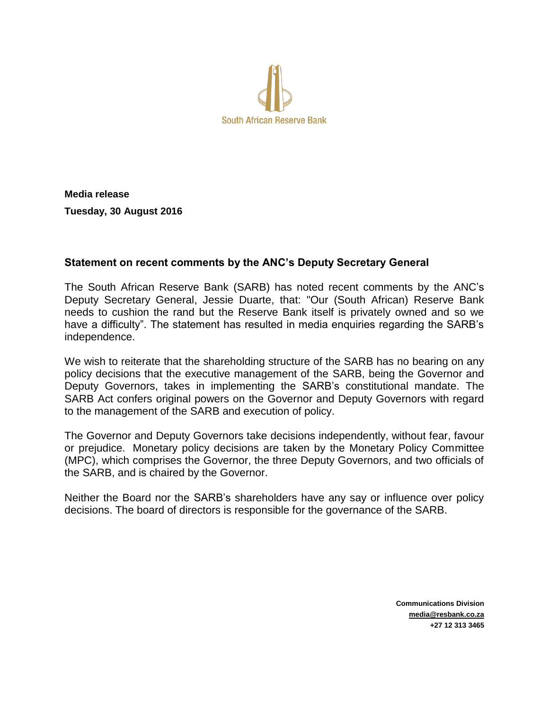

**Media release Tuesday, 30 August 2016**

## **Statement on recent comments by the ANC's Deputy Secretary General**

The South African Reserve Bank (SARB) has noted recent comments by the ANC's Deputy Secretary General, Jessie Duarte, that: "Our (South African) Reserve Bank needs to cushion the rand but the Reserve Bank itself is privately owned and so we have a difficulty". The statement has resulted in media enquiries regarding the SARB's independence.

We wish to reiterate that the shareholding structure of the SARB has no bearing on any policy decisions that the executive management of the SARB, being the Governor and Deputy Governors, takes in implementing the SARB's constitutional mandate. The SARB Act confers original powers on the Governor and Deputy Governors with regard to the management of the SARB and execution of policy.

The Governor and Deputy Governors take decisions independently, without fear, favour or prejudice. Monetary policy decisions are taken by the Monetary Policy Committee (MPC), which comprises the Governor, the three Deputy Governors, and two officials of the SARB, and is chaired by the Governor.

Neither the Board nor the SARB's shareholders have any say or influence over policy decisions. The board of directors is responsible for the governance of the SARB.

> **Communications Division media@resbank.co.za +27 12 313 3465**